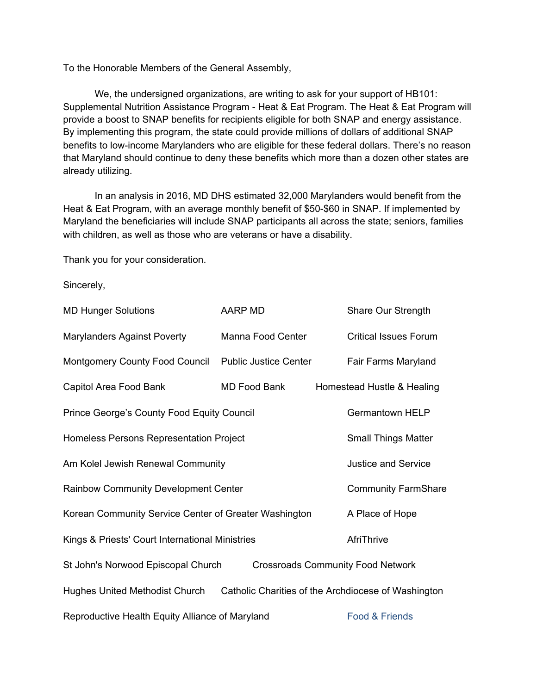To the Honorable Members of the General Assembly,

We, the undersigned organizations, are writing to ask for your support of HB101: Supplemental Nutrition Assistance Program - Heat & Eat Program. The Heat & Eat Program will provide a boost to SNAP benefits for recipients eligible for both SNAP and energy assistance. By implementing this program, the state could provide millions of dollars of additional SNAP benefits to low-income Marylanders who are eligible for these federal dollars. There's no reason that Maryland should continue to deny these benefits which more than a dozen other states are already utilizing.

In an analysis in 2016, MD DHS estimated 32,000 Marylanders would benefit from the Heat & Eat Program, with an average monthly benefit of \$50-\$60 in SNAP. If implemented by Maryland the beneficiaries will include SNAP participants all across the state; seniors, families with children, as well as those who are veterans or have a disability.

Thank you for your consideration.

Sincerely,

| <b>MD Hunger Solutions</b>                                                                   | AARP MD                      | Share Our Strength           |
|----------------------------------------------------------------------------------------------|------------------------------|------------------------------|
| <b>Marylanders Against Poverty</b>                                                           | Manna Food Center            | <b>Critical Issues Forum</b> |
| Montgomery County Food Council                                                               | <b>Public Justice Center</b> | Fair Farms Maryland          |
| Capitol Area Food Bank                                                                       | MD Food Bank                 | Homestead Hustle & Healing   |
| Prince George's County Food Equity Council                                                   |                              | <b>Germantown HELP</b>       |
| Homeless Persons Representation Project                                                      |                              | <b>Small Things Matter</b>   |
| Am Kolel Jewish Renewal Community                                                            |                              | <b>Justice and Service</b>   |
| Rainbow Community Development Center                                                         |                              | <b>Community FarmShare</b>   |
| Korean Community Service Center of Greater Washington                                        |                              | A Place of Hope              |
| Kings & Priests' Court International Ministries                                              |                              | AfriThrive                   |
| St John's Norwood Episcopal Church<br><b>Crossroads Community Food Network</b>               |                              |                              |
| <b>Hughes United Methodist Church</b><br>Catholic Charities of the Archdiocese of Washington |                              |                              |
| Reproductive Health Equity Alliance of Maryland                                              |                              | Food & Friends               |